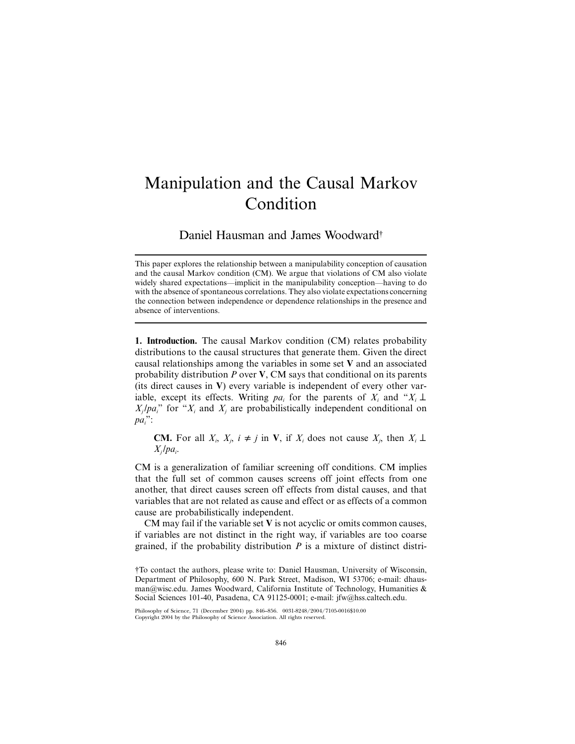## Manipulation and the Causal Markov Condition

Daniel Hausman and James Woodward†

**1. Introduction.** The causal Markov condition (CM) relates probability distributions to the causal structures that generate them. Given the direct causal relationships among the variables in some set **V** and an associated probability distribution *P* over **V**, CM says that conditional on its parents (its direct causes in **V**) every variable is independent of every other variable, except its effects. Writing  $pa_i$  for the parents of  $X_i$  and " $X_i \perp$  $X_i / pa_i$ <sup>"</sup> for " $X_i$  and  $X_j$  are probabilistically independent conditional on *pai* ":

**CM.** For all  $X_i$ ,  $X_j$ ,  $i \neq j$  in **V**, if  $X_i$  does not cause  $X_j$ , then  $X_i \perp$  $X_i$ / $pa_i$ .

CM is a generalization of familiar screening off conditions. CM implies that the full set of common causes screens off joint effects from one another, that direct causes screen off effects from distal causes, and that variables that are not related as cause and effect or as effects of a common cause are probabilistically independent.

CM may fail if the variable set **V** is not acyclic or omits common causes, if variables are not distinct in the right way, if variables are too coarse grained, if the probability distribution *P* is a mixture of distinct distri-

This paper explores the relationship between a manipulability conception of causation and the causal Markov condition (CM). We argue that violations of CM also violate widely shared expectations—implicit in the manipulability conception—having to do with the absence of spontaneous correlations. They also violate expectations concerning the connection between independence or dependence relationships in the presence and absence of interventions.

<sup>†</sup>To contact the authors, please write to: Daniel Hausman, University of Wisconsin, Department of Philosophy, 600 N. Park Street, Madison, WI 53706; e-mail: dhausman@wisc.edu. James Woodward, California Institute of Technology, Humanities & Social Sciences 101-40, Pasadena, CA 91125-0001; e-mail: jfw@hss.caltech.edu.

Philosophy of Science, 71 (December 2004) pp. 846–856. 0031-8248/2004/7105-0016\$10.00 Copyright 2004 by the Philosophy of Science Association. All rights reserved.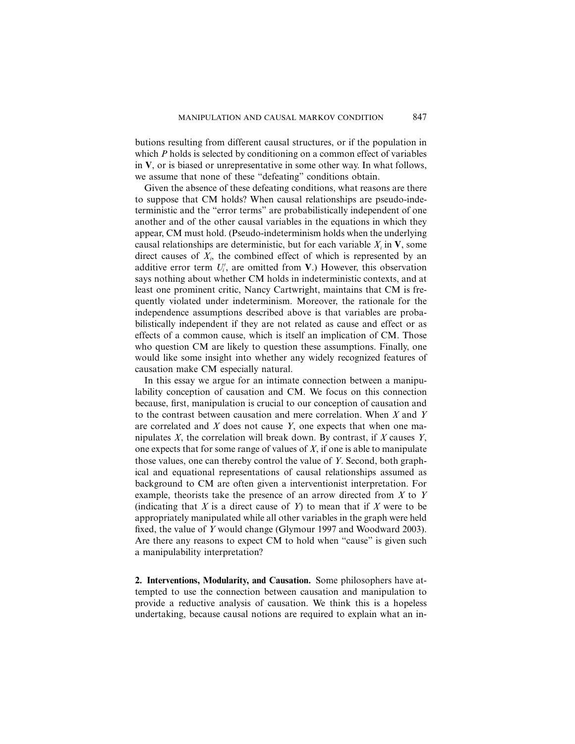butions resulting from different causal structures, or if the population in which *P* holds is selected by conditioning on a common effect of variables in **V**, or is biased or unrepresentative in some other way. In what follows, we assume that none of these "defeating" conditions obtain.

Given the absence of these defeating conditions, what reasons are there to suppose that CM holds? When causal relationships are pseudo-indeterministic and the "error terms" are probabilistically independent of one another and of the other causal variables in the equations in which they appear, CM must hold. (Pseudo-indeterminism holds when the underlying causal relationships are deterministic, but for each variable  $X_i$  in  $V$ , some direct causes of  $X_i$ , the combined effect of which is represented by an additive error term  $U_i'$ , are omitted from **V**.) However, this observation says nothing about whether CM holds in indeterministic contexts, and at least one prominent critic, Nancy Cartwright, maintains that CM is frequently violated under indeterminism. Moreover, the rationale for the independence assumptions described above is that variables are probabilistically independent if they are not related as cause and effect or as effects of a common cause, which is itself an implication of CM. Those who question CM are likely to question these assumptions. Finally, one would like some insight into whether any widely recognized features of causation make CM especially natural.

In this essay we argue for an intimate connection between a manipulability conception of causation and CM. We focus on this connection because, first, manipulation is crucial to our conception of causation and to the contrast between causation and mere correlation. When *X* and *Y* are correlated and *X* does not cause *Y*, one expects that when one manipulates *X*, the correlation will break down. By contrast, if *X* causes *Y*, one expects that for some range of values of *X*, if one is able to manipulate those values, one can thereby control the value of *Y*. Second, both graphical and equational representations of causal relationships assumed as background to CM are often given a interventionist interpretation. For example, theorists take the presence of an arrow directed from *X* to *Y* (indicating that *X* is a direct cause of *Y*) to mean that if *X* were to be appropriately manipulated while all other variables in the graph were held fixed, the value of *Y* would change (Glymour 1997 and Woodward 2003). Are there any reasons to expect CM to hold when "cause" is given such a manipulability interpretation?

**2. Interventions, Modularity, and Causation.** Some philosophers have attempted to use the connection between causation and manipulation to provide a reductive analysis of causation. We think this is a hopeless undertaking, because causal notions are required to explain what an in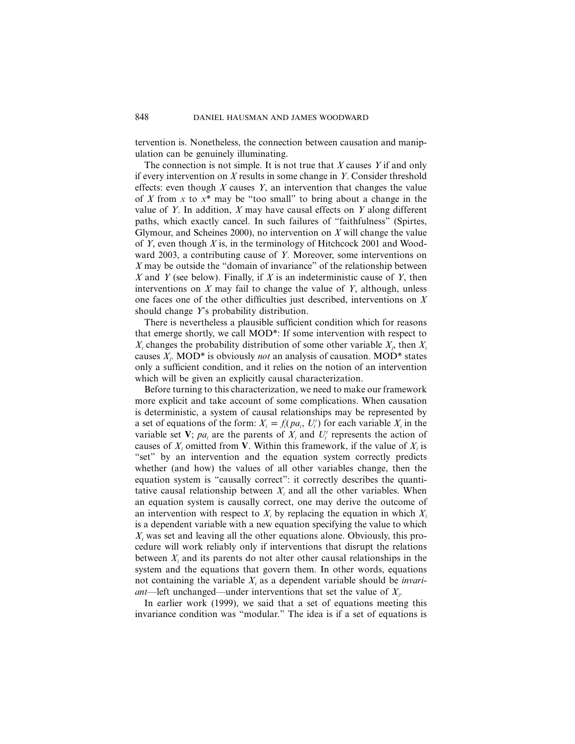tervention is. Nonetheless, the connection between causation and manipulation can be genuinely illuminating.

The connection is not simple. It is not true that *X* causes *Y* if and only if every intervention on *X* results in some change in *Y*. Consider threshold effects: even though *X* causes *Y*, an intervention that changes the value of *X* from *x* to *x*\* may be "too small" to bring about a change in the value of *Y*. In addition, *X* may have causal effects on *Y* along different paths, which exactly cancel. In such failures of "faithfulness" (Spirtes, Glymour, and Scheines 2000), no intervention on *X* will change the value of *Y*, even though *X* is, in the terminology of Hitchcock 2001 and Woodward 2003, a contributing cause of *Y*. Moreover, some interventions on *X* may be outside the "domain of invariance" of the relationship between *X* and *Y* (see below). Finally, if *X* is an indeterministic cause of *Y*, then interventions on *X* may fail to change the value of *Y*, although, unless one faces one of the other difficulties just described, interventions on *X* should change *Y*'s probability distribution.

There is nevertheless a plausible sufficient condition which for reasons that emerge shortly, we call MOD\*: If some intervention with respect to  $X_i$  changes the probability distribution of some other variable  $X_j$ , then  $X_i$ causes *Xj* . MOD\* is obviously *not* an analysis of causation. MOD\* states only a sufficient condition, and it relies on the notion of an intervention which will be given an explicitly causal characterization.

Before turning to this characterization, we need to make our framework more explicit and take account of some complications. When causation is deterministic, a system of causal relationships may be represented by a set of equations of the form:  $X_i = f_i(pa_i, U'_i)$  for each variable  $X_i$  in the variable set V;  $pa_i$  are the parents of  $X_i$  and  $U'_i$  represents the action of causes of  $X_i$  omitted from **V**. Within this framework, if the value of  $X_i$  is "set" by an intervention and the equation system correctly predicts whether (and how) the values of all other variables change, then the equation system is "causally correct": it correctly describes the quantitative causal relationship between  $X_i$  and all the other variables. When an equation system is causally correct, one may derive the outcome of an intervention with respect to  $X_i$  by replacing the equation in which  $X_i$ is a dependent variable with a new equation specifying the value to which *Xi* was set and leaving all the other equations alone. Obviously, this procedure will work reliably only if interventions that disrupt the relations between  $X_i$  and its parents do not alter other causal relationships in the system and the equations that govern them. In other words, equations not containing the variable *Xi* as a dependent variable should be *invariant*—left unchanged—under interventions that set the value of *Xi* .

In earlier work (1999), we said that a set of equations meeting this invariance condition was "modular." The idea is if a set of equations is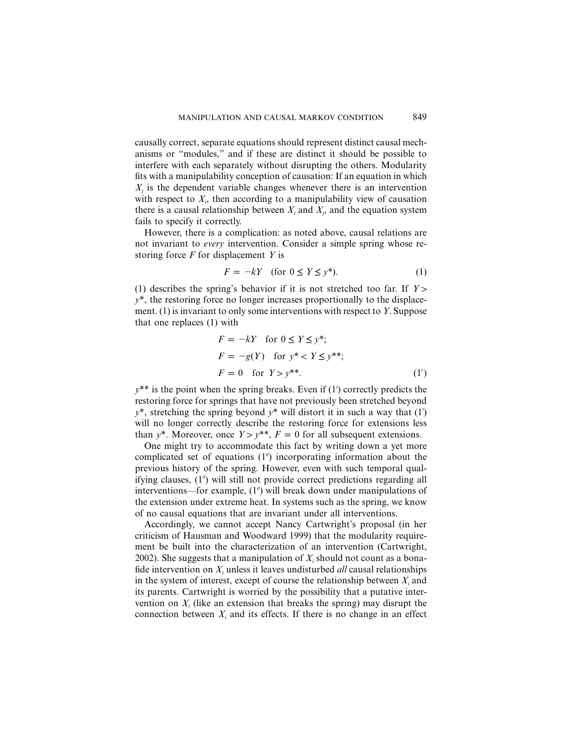causally correct, separate equations should represent distinct causal mechanisms or "modules," and if these are distinct it should be possible to interfere with each separately without disrupting the others. Modularity fits with a manipulability conception of causation: If an equation in which  $X<sub>i</sub>$  is the dependent variable changes whenever there is an intervention with respect to  $X_i$ , then according to a manipulability view of causation there is a causal relationship between  $X_i$  and  $X_j$ , and the equation system fails to specify it correctly.

However, there is a complication: as noted above, causal relations are not invariant to *every* intervention. Consider a simple spring whose restoring force *F* for displacement *Y* is

$$
F = -kY \quad \text{(for } 0 \le Y \le y^* \text{)}.
$$

(1) describes the spring's behavior if it is not stretched too far. If  $Y >$  $y^*$ , the restoring force no longer increases proportionally to the displacement. (1) is invariant to only some interventions with respect to *Y*. Suppose that one replaces (1) with

$$
F = -kY \quad \text{for } 0 \le Y \le y^*;
$$
  

$$
F = -g(Y) \quad \text{for } y^* < Y \le y^{**};
$$
  

$$
F = 0 \quad \text{for } Y > y^{**}.
$$
 (1')

 $y^{**}$  is the point when the spring breaks. Even if  $(1')$  correctly predicts the restoring force for springs that have not previously been stretched beyond  $y^*$ , stretching the spring beyond  $y^*$  will distort it in such a way that  $(1')$ will no longer correctly describe the restoring force for extensions less than  $y^*$ . Moreover, once  $Y > y^{**}$ ,  $F = 0$  for all subsequent extensions.

One might try to accommodate this fact by writing down a yet more complicated set of equations (1<sup>n</sup>) incorporating information about the previous history of the spring. However, even with such temporal qualifying clauses, (1") will still not provide correct predictions regarding all interventions—for example, (1") will break down under manipulations of the extension under extreme heat. In systems such as the spring, we know of no causal equations that are invariant under all interventions.

Accordingly, we cannot accept Nancy Cartwright's proposal (in her criticism of Hausman and Woodward 1999) that the modularity requirement be built into the characterization of an intervention (Cartwright, 2002). She suggests that a manipulation of *Xi* should not count as a bonafide intervention on *Xi* unless it leaves undisturbed *all* causal relationships in the system of interest, except of course the relationship between  $X_i$  and its parents. Cartwright is worried by the possibility that a putative intervention on  $X_i$  (like an extension that breaks the spring) may disrupt the connection between  $X_i$  and its effects. If there is no change in an effect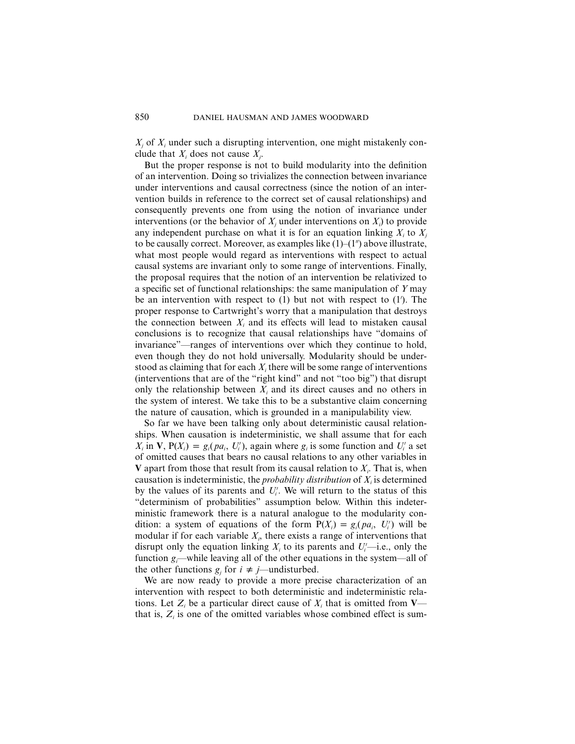*Xj* of *Xi* under such a disrupting intervention, one might mistakenly conclude that *Xi* does not cause *Xj* .

But the proper response is not to build modularity into the definition of an intervention. Doing so trivializes the connection between invariance under interventions and causal correctness (since the notion of an intervention builds in reference to the correct set of causal relationships) and consequently prevents one from using the notion of invariance under interventions (or the behavior of  $X_j$  under interventions on  $X_i$ ) to provide any independent purchase on what it is for an equation linking  $X_i$  to  $X_j$ to be causally correct. Moreover, as examples like  $(1)$ – $(1'')$  above illustrate, what most people would regard as interventions with respect to actual causal systems are invariant only to some range of interventions. Finally, the proposal requires that the notion of an intervention be relativized to a specific set of functional relationships: the same manipulation of *Y* may be an intervention with respect to  $(1)$  but not with respect to  $(1')$ . The proper response to Cartwright's worry that a manipulation that destroys the connection between  $X_i$  and its effects will lead to mistaken causal conclusions is to recognize that causal relationships have "domains of invariance"—ranges of interventions over which they continue to hold, even though they do not hold universally. Modularity should be understood as claiming that for each  $X_i$ , there will be some range of interventions (interventions that are of the "right kind" and not "too big") that disrupt only the relationship between  $X_i$  and its direct causes and no others in the system of interest. We take this to be a substantive claim concerning the nature of causation, which is grounded in a manipulability view.

So far we have been talking only about deterministic causal relationships. When causation is indeterministic, we shall assume that for each  $X_i$  in **V**,  $P(X_i) = g_i(pa_i, U'_i)$ , again where  $g_i$  is some function and  $U'_i$  a set of omitted causes that bears no causal relations to any other variables in **V** apart from those that result from its causal relation to  $X_i$ . That is, when causation is indeterministic, the *probability distribution* of  $X_i$  is determined by the values of its parents and  $U_i'$ . We will return to the status of this "determinism of probabilities" assumption below. Within this indeterministic framework there is a natural analogue to the modularity condition: a system of equations of the form  $P(X_i) = g_i(pa_i, U'_i)$  will be modular if for each variable *Xi* , there exists a range of interventions that disrupt only the equation linking  $X_i$  to its parents and  $U_i$ —i.e., only the function *gi* —while leaving all of the other equations in the system—all of the other functions  $g_i$  for  $i \neq j$ —undisturbed.

We are now ready to provide a more precise characterization of an intervention with respect to both deterministic and indeterministic relations. Let  $Z_i$  be a particular direct cause of  $X_i$  that is omitted from **V** that is,  $Z_i$  is one of the omitted variables whose combined effect is sum-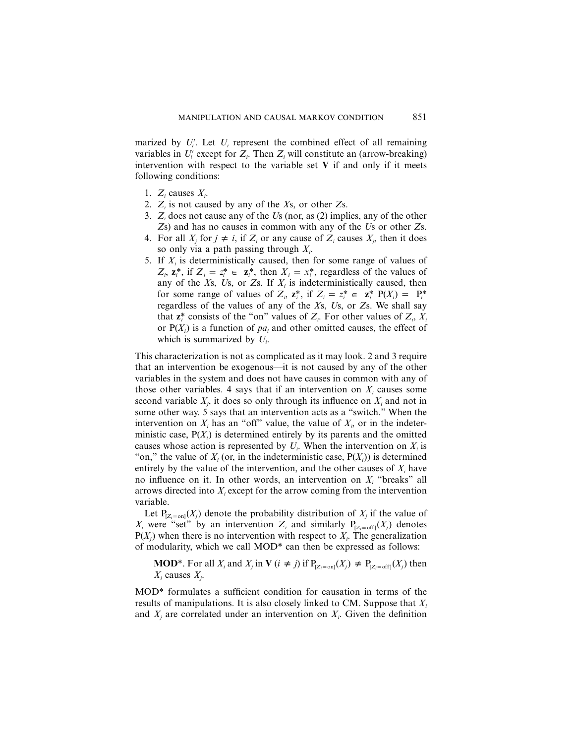marized by  $U_i'$ . Let  $U_i$  represent the combined effect of all remaining variables in  $U_i'$  except for  $Z_i$ . Then  $Z_i$  will constitute an (arrow-breaking) intervention with respect to the variable set **V** if and only if it meets following conditions:

- 1.  $Z_i$  causes  $X_i$ .
- 2. *Zi* is not caused by any of the *X*s, or other *Z*s.
- 3. *Zi* does not cause any of the *U*s (nor, as (2) implies, any of the other *Z*s) and has no causes in common with any of the *U*s or other *Z*s.
- 4. For all  $X_i$  for  $j \neq i$ , if  $Z_i$  or any cause of  $Z_i$  causes  $X_i$ , then it does so only via a path passing through *Xi* .
- 5. If *Xi* is deterministically caused, then for some range of values of  $Z_i$ ,  $z_i^*$ , if  $Z_i = z_i^* \in z_i^*$ , then  $X_i = x_i^*$ , regardless of the values of any of the  $X_s$ ,  $U_s$ , or  $Z_s$ . If  $X_i$  is indeterministically caused, then for some range of values of  $Z_i$ ,  $z_i^*$ , if  $Z_i = z_i^* \in z_i^*$   $P(X_i) = P_i^*$ regardless of the values of any of the *X*s, *U*s, or *Z*s. We shall say that  $z_i^*$  consists of the "on" values of  $Z_i$ . For other values of  $Z_i$ ,  $X_i$ or  $P(X_i)$  is a function of  $pa_i$  and other omitted causes, the effect of which is summarized by  $U_i$ .

This characterization is not as complicated as it may look. 2 and 3 require that an intervention be exogenous—it is not caused by any of the other variables in the system and does not have causes in common with any of those other variables. 4 says that if an intervention on  $X_i$  causes some second variable  $X_j$ , it does so only through its influence on  $X_i$  and not in some other way. 5 says that an intervention acts as a "switch." When the intervention on  $X_i$  has an "off" value, the value of  $X_i$ , or in the indeterministic case,  $P(X_i)$  is determined entirely by its parents and the omitted causes whose action is represented by  $U_i$ . When the intervention on  $X_i$  is "on," the value of  $X_i$  (or, in the indeterministic case,  $P(X_i)$ ) is determined entirely by the value of the intervention, and the other causes of  $X_i$  have no influence on it. In other words, an intervention on *Xi* "breaks" all arrows directed into  $X_i$  except for the arrow coming from the intervention variable.

Let  $P_{Z_i = \text{on}}(X_i)$  denote the probability distribution of  $X_i$  if the value of  $X_i$  were "set" by an intervention  $Z_i$  and similarly  $P_{[Z_i = \text{off}]}(X_i)$  denotes  $P(X_i)$  when there is no intervention with respect to  $X_i$ . The generalization of modularity, which we call MOD\* can then be expressed as follows:

**MOD**<sup>\*</sup>. For all  $X_i$  and  $X_j$  in **V**  $(i \neq j)$  if  $P_{Z_i = \text{on}]}(X_j) \neq P_{Z_i = \text{off}]}(X_j)$  then  $X_i$  causes  $X_i$ .

MOD\* formulates a sufficient condition for causation in terms of the results of manipulations. It is also closely linked to CM. Suppose that *Xi* and  $X_j$  are correlated under an intervention on  $X_i$ . Given the definition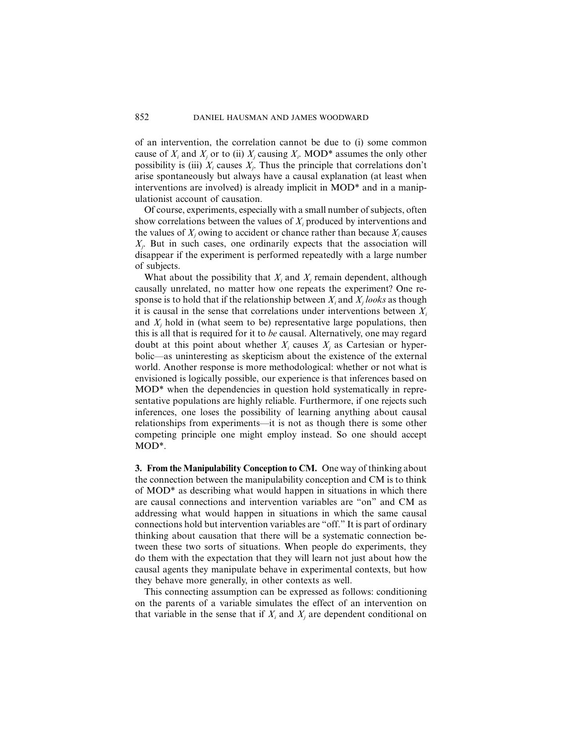of an intervention, the correlation cannot be due to (i) some common cause of  $X_i$  and  $X_j$  or to (ii)  $X_j$  causing  $X_i$ . MOD\* assumes the only other possibility is (iii)  $X_i$  causes  $X_j$ . Thus the principle that correlations don't arise spontaneously but always have a causal explanation (at least when interventions are involved) is already implicit in MOD\* and in a manipulationist account of causation.

Of course, experiments, especially with a small number of subjects, often show correlations between the values of  $X_i$  produced by interventions and the values of  $X_i$  owing to accident or chance rather than because  $X_i$  causes  $X_j$ . But in such cases, one ordinarily expects that the association will disappear if the experiment is performed repeatedly with a large number of subjects.

What about the possibility that  $X_i$  and  $X_j$  remain dependent, although causally unrelated, no matter how one repeats the experiment? One response is to hold that if the relationship between  $X_i$  and  $X_j$  *looks* as though it is causal in the sense that correlations under interventions between  $X_i$ and  $X<sub>i</sub>$  hold in (what seem to be) representative large populations, then this is all that is required for it to *be* causal. Alternatively, one may regard doubt at this point about whether  $X_i$  causes  $X_i$  as Cartesian or hyperbolic—as uninteresting as skepticism about the existence of the external world. Another response is more methodological: whether or not what is envisioned is logically possible, our experience is that inferences based on MOD\* when the dependencies in question hold systematically in representative populations are highly reliable. Furthermore, if one rejects such inferences, one loses the possibility of learning anything about causal relationships from experiments—it is not as though there is some other competing principle one might employ instead. So one should accept MOD\*.

**3. From the Manipulability Conception to CM.** One way of thinking about the connection between the manipulability conception and CM is to think of MOD\* as describing what would happen in situations in which there are causal connections and intervention variables are "on" and CM as addressing what would happen in situations in which the same causal connections hold but intervention variables are "off." It is part of ordinary thinking about causation that there will be a systematic connection between these two sorts of situations. When people do experiments, they do them with the expectation that they will learn not just about how the causal agents they manipulate behave in experimental contexts, but how they behave more generally, in other contexts as well.

This connecting assumption can be expressed as follows: conditioning on the parents of a variable simulates the effect of an intervention on that variable in the sense that if  $X_i$  and  $X_j$  are dependent conditional on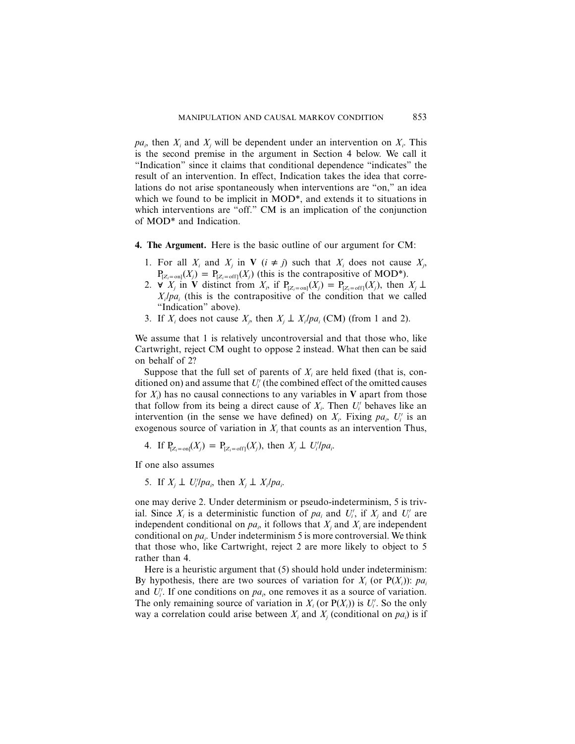$pa_i$ , then  $X_i$  and  $X_j$  will be dependent under an intervention on  $X_i$ . This is the second premise in the argument in Section 4 below. We call it "Indication" since it claims that conditional dependence "indicates" the result of an intervention. In effect, Indication takes the idea that correlations do not arise spontaneously when interventions are "on," an idea which we found to be implicit in MOD\*, and extends it to situations in which interventions are "off." CM is an implication of the conjunction of MOD\* and Indication.

- **4. The Argument.** Here is the basic outline of our argument for CM:
	- 1. For all  $X_i$  and  $X_j$  in **V**  $(i \neq j)$  such that  $X_i$  does not cause  $X_j$ ,  $P_{[Z_i = on]}(X_j) = P_{[Z_i = off]}(X_j)$  (this is the contrapositive of MOD\*).
	- 2.  $\forall$  *X<sub>j</sub>* in **V** distinct from *X<sub>i</sub>*, if  $P_{[Z_i = on]}(X_j) = P_{[Z_i = off]}(X_j)$ , then *X<sub>j</sub>*  $\perp$  $X_i$  /*pa*<sub>i</sub> (this is the contrapositive of the condition that we called "Indication" above).
	- 3. If  $X_i$  does not cause  $X_j$ , then  $X_j \perp X_i / pa_i$  (CM) (from 1 and 2).

We assume that 1 is relatively uncontroversial and that those who, like Cartwright, reject CM ought to oppose 2 instead. What then can be said on behalf of 2?

Suppose that the full set of parents of  $X_i$  are held fixed (that is, conditioned on) and assume that  $U_i'$  (the combined effect of the omitted causes for *Xi* ) has no causal connections to any variables in **V** apart from those that follow from its being a direct cause of  $X_i$ . Then  $U_i'$  behaves like an intervention (in the sense we have defined) on  $X_i$ . Fixing  $pa_i$ ,  $U_i'$  is an exogenous source of variation in  $X_i$  that counts as an intervention Thus,

4. If 
$$
P_{[Z_i = on]}(X_j) = P_{[Z_i = off]}(X_j)
$$
, then  $X_j \perp U_i'/pa_i$ .

If one also assumes

5. If  $X_j \perp U_i'/pa_i$ , then  $X_j \perp X_i/pa_i$ .

one may derive 2. Under determinism or pseudo-indeterminism, 5 is trivial. Since  $X_i$  is a deterministic function of  $pa_i$  and  $U'_i$ , if  $X_j$  and  $U'_i$  are independent conditional on  $pa_i$ , it follows that  $X_i$  and  $X_i$  are independent conditional on *pa<sub>i</sub>*. Under indeterminism 5 is more controversial. We think that those who, like Cartwright, reject 2 are more likely to object to 5 rather than 4.

Here is a heuristic argument that (5) should hold under indeterminism: By hypothesis, there are two sources of variation for  $X_i$  (or  $P(X_i)$ ): pa<sub>i</sub> and  $U_i'$ . If one conditions on  $pa_i$ , one removes it as a source of variation. The only remaining source of variation in  $X_i$  (or  $P(X_i)$ ) is  $U'_i$ . So the only way a correlation could arise between  $X_i$  and  $X_j$  (conditional on  $pa_i$ ) is if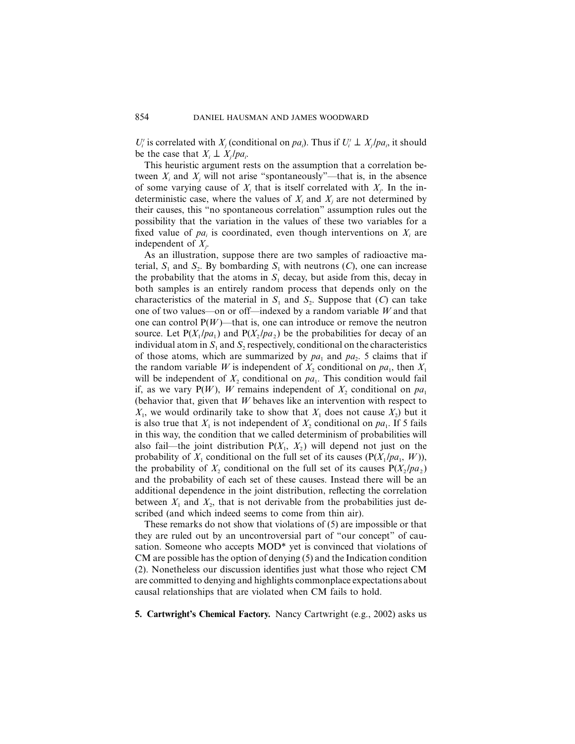$U_i'$  is correlated with  $X_j$  (conditional on *pa<sub>i</sub>*). Thus if  $U_i' \perp X_j / pa_i$ , it should be the case that  $X_i \perp X_i / pa_i$ .

This heuristic argument rests on the assumption that a correlation between  $X_i$  and  $X_j$  will not arise "spontaneously"—that is, in the absence of some varying cause of  $X_i$  that is itself correlated with  $X_j$ . In the indeterministic case, where the values of  $X_i$  and  $X_j$  are not determined by their causes, this "no spontaneous correlation" assumption rules out the possibility that the variation in the values of these two variables for a fixed value of  $pa_i$  is coordinated, even though interventions on  $X_i$  are independent of *Xj* .

As an illustration, suppose there are two samples of radioactive material,  $S_1$  and  $S_2$ . By bombarding  $S_1$  with neutrons (*C*), one can increase the probability that the atoms in  $S_1$  decay, but aside from this, decay in both samples is an entirely random process that depends only on the characteristics of the material in  $S_1$  and  $S_2$ . Suppose that (*C*) can take one of two values—on or off—indexed by a random variable *W* and that one can control  $P(W)$ —that is, one can introduce or remove the neutron source. Let  $P(X_1/pa_1)$  and  $P(X_2/pa_2)$  be the probabilities for decay of an individual atom in  $S_1$  and  $S_2$  respectively, conditional on the characteristics of those atoms, which are summarized by  $pa_1$  and  $pa_2$ . 5 claims that if the random variable *W* is independent of  $X_2$  conditional on  $pa_1$ , then  $X_1$ will be independent of  $X_2$  conditional on  $pa_1$ . This condition would fail if, as we vary  $P(W)$ , W remains independent of  $X_2$  conditional on  $pa_1$ (behavior that, given that *W* behaves like an intervention with respect to  $X_1$ , we would ordinarily take to show that  $X_1$  does not cause  $X_2$ ) but it is also true that  $X_1$  is not independent of  $X_2$  conditional on  $pa_1$ . If 5 fails in this way, the condition that we called determinism of probabilities will also fail—the joint distribution  $P(X_1, X_2)$  will depend not just on the probability of  $X_1$  conditional on the full set of its causes ( $P(X_1/pa_1, W)$ ), the probability of X<sub>2</sub> conditional on the full set of its causes  $P(X_1/pa_2)$ and the probability of each set of these causes. Instead there will be an additional dependence in the joint distribution, reflecting the correlation between  $X_1$  and  $X_2$ , that is not derivable from the probabilities just described (and which indeed seems to come from thin air).

These remarks do not show that violations of (5) are impossible or that they are ruled out by an uncontroversial part of "our concept" of causation. Someone who accepts MOD\* yet is convinced that violations of CM are possible has the option of denying (5) and the Indication condition (2). Nonetheless our discussion identifies just what those who reject CM are committed to denying and highlights commonplace expectations about causal relationships that are violated when CM fails to hold.

**5. Cartwright's Chemical Factory.** Nancy Cartwright (e.g., 2002) asks us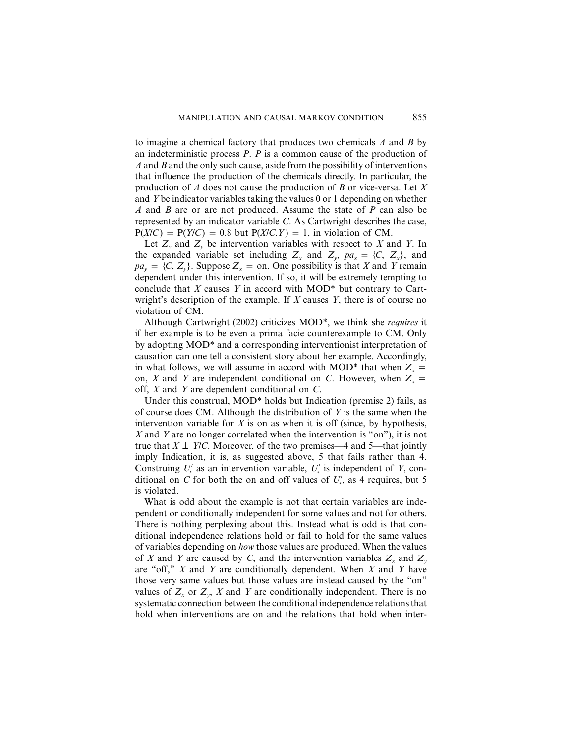to imagine a chemical factory that produces two chemicals *A* and *B* by an indeterministic process *P*. *P* is a common cause of the production of *A* and *B* and the only such cause, aside from the possibility of interventions that influence the production of the chemicals directly. In particular, the production of *A* does not cause the production of *B* or vice-versa. Let *X* and *Y* be indicator variables taking the values 0 or 1 depending on whether *A* and *B* are or are not produced. Assume the state of *P* can also be represented by an indicator variable *C*. As Cartwright describes the case,  $P(X/C) = P(Y/C) = 0.8$  but  $P(X/C, Y) = 1$ , in violation of CM.

Let  $Z<sub>x</sub>$  and  $Z<sub>y</sub>$  be intervention variables with respect to *X* and *Y*. In the expanded variable set including  $Z_x$  and  $Z_y$ ,  $pa_x = \{C, Z_x\}$ , and  $pa_y = \{C, Z_y\}$ . Suppose  $Z_x = \text{on}$ . One possibility is that *X* and *Y* remain dependent under this intervention. If so, it will be extremely tempting to conclude that *X* causes *Y* in accord with MOD\* but contrary to Cartwright's description of the example. If *X* causes *Y*, there is of course no violation of CM.

Although Cartwright (2002) criticizes MOD\*, we think she *requires* it if her example is to be even a prima facie counterexample to CM. Only by adopting MOD\* and a corresponding interventionist interpretation of causation can one tell a consistent story about her example. Accordingly, in what follows, we will assume in accord with MOD\* that when  $Z_x$  = on, *X* and *Y* are independent conditional on *C*. However, when  $Z<sub>r</sub> =$ off, *X* and *Y* are dependent conditional on *C*.

Under this construal, MOD\* holds but Indication (premise 2) fails, as of course does CM. Although the distribution of *Y* is the same when the intervention variable for  $X$  is on as when it is off (since, by hypothesis, *X* and *Y* are no longer correlated when the intervention is "on"), it is not true that  $X \perp Y/C$ . Moreover, of the two premises—4 and 5—that jointly imply Indication, it is, as suggested above, 5 that fails rather than 4. Construing  $U'_x$  as an intervention variable,  $U'_x$  is independent of *Y*, conditional on *C* for both the on and off values of  $U'_x$ , as 4 requires, but 5 is violated.

What is odd about the example is not that certain variables are independent or conditionally independent for some values and not for others. There is nothing perplexing about this. Instead what is odd is that conditional independence relations hold or fail to hold for the same values of variables depending on *how* those values are produced. When the values of *X* and *Y* are caused by *C*, and the intervention variables  $Z_x$  and  $Z_y$ are "off," *X* and *Y* are conditionally dependent. When *X* and *Y* have those very same values but those values are instead caused by the "on" values of  $Z_x$  or  $Z_y$ ,  $X$  and  $Y$  are conditionally independent. There is no systematic connection between the conditional independence relations that hold when interventions are on and the relations that hold when inter-